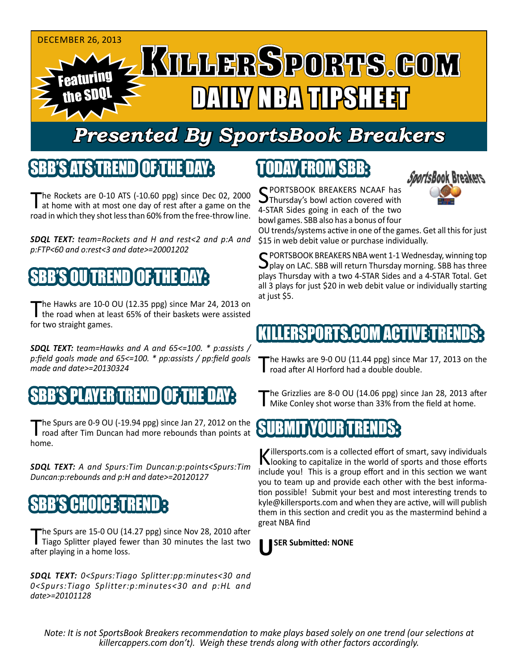

# *Presented By SportsBook Breakers*

#### SBB'S ATSTREND

The Rockets are 0-10 ATS (-10.60 ppg) since Dec 02, 2000<br>at home with at most one day of rest after a game on the road in which they shot less than 60% from the free-throw line.

*SDQL TEXT: team=Rockets and H and rest<2 and p:A and p:FTP<60 and o:rest<3 and date>=20001202*

### SBB'S OU TREND OF THE DAY:

The Hawks are 10-0 OU (12.35 ppg) since Mar 24, 2013 on<br>the road when at least 65% of their baskets were assisted for two straight games.

*SDQL TEXT: team=Hawks and A and 65<=100. \* p:assists / p:field goals made and 65<=100. \* pp:assists / pp:field goals made and date>=20130324*

#### B'S PLAYER TREND I OF THE D

The Spurs are 0-9 OU (-19.94 ppg) since Jan 27, 2012 on the road after Tim Duncan had more rebounds than points at home.

*SDQL TEXT: A and Spurs:Tim Duncan:p:points<Spurs:Tim Duncan:p:rebounds and p:H and date>=20120127*

### 'S CHOICE T

The Spurs are 15-0 OU (14.27 ppg) since Nov 28, 2010 after<br>Tiago Splitter played fewer than 30 minutes the last two after playing in a home loss.

*SDQL TEXT: 0<Spurs:Tiago Splitter:pp:minutes<30 and 0<Spurs:Tiago Splitter:p:minutes<30 and p:HL and date>=20101128*

# TODAY FROM SBB:



SPORTSBOOK BREAKERS NCAAF has<br>Thursday's bowl action covered with 4-STAR Sides going in each of the two bowl games. SBB also has a bonus of four

OU trends/systems active in one of the games. Get all this for just \$15 in web debit value or purchase individually.

SPORTSBOOK BREAKERS NBA went 1-1 Wednesday, winning top  $\bigcup$  play on LAC. SBB will return Thursday morning. SBB has three plays Thursday with a two 4-STAR Sides and a 4-STAR Total. Get all 3 plays for just \$20 in web debit value or individually starting at just \$5.

#### IKILLERSPORTS.COM ACTIVE T

The Hawks are 9-0 OU (11.44 ppg) since Mar 17, 2013 on the road after Al Horford had a double double.

The Grizzlies are 8-0 OU (14.06 ppg) since Jan 28, 2013 after<br>Mike Conley shot worse than 33% from the field at home.

#### **SUBMITYOUR TREN**

Killersports.com is a collected effort of smart, savy individuals<br>Nooking to capitalize in the world of sports and those efforts include you! This is a group effort and in this section we want you to team up and provide each other with the best information possible! Submit your best and most interesting trends to kyle@killersports.com and when they are active, will will publish them in this section and credit you as the mastermind behind a great NBA find



*Note: It is not SportsBook Breakers recommendation to make plays based solely on one trend (our selections at killercappers.com don't). Weigh these trends along with other factors accordingly.*